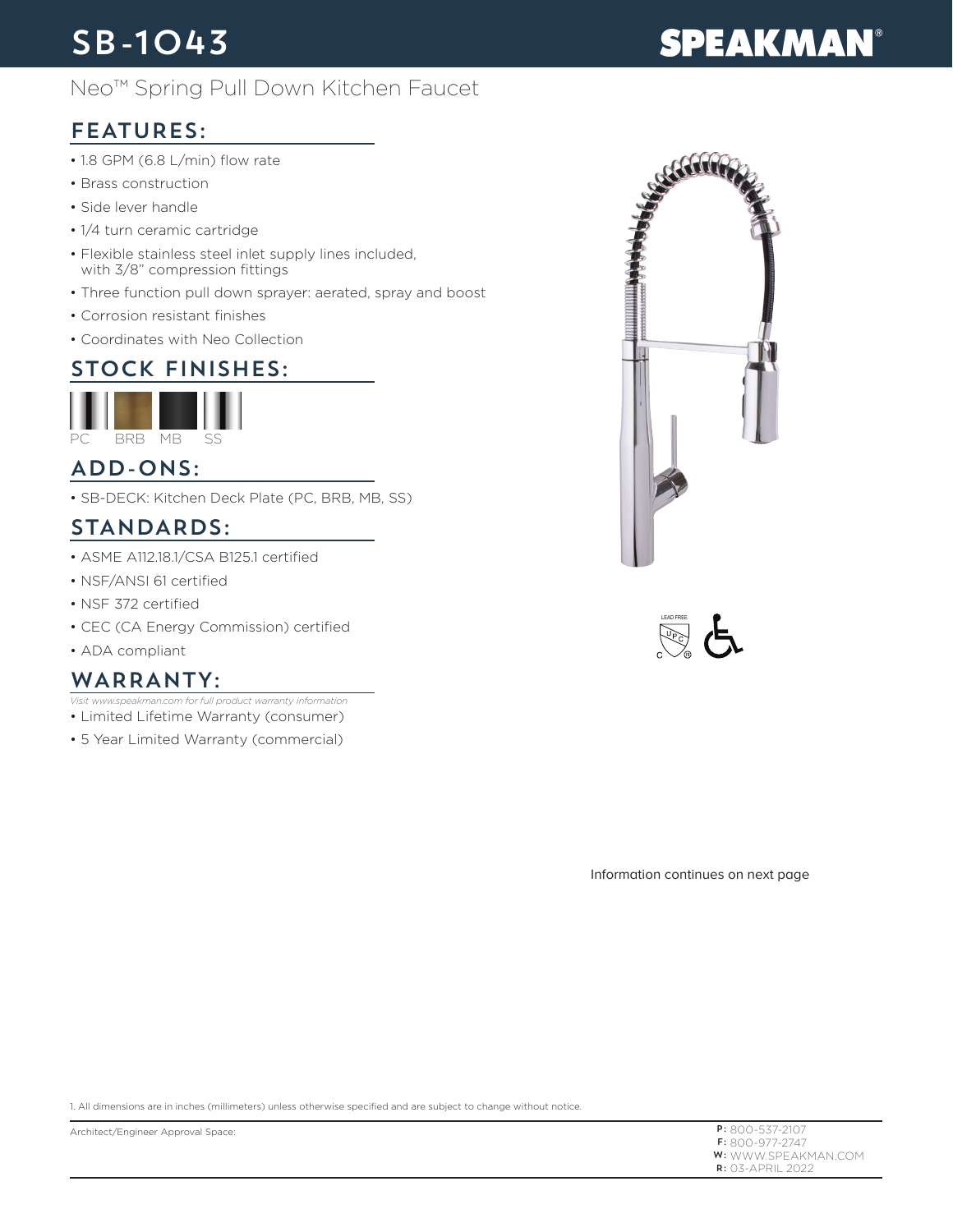## SB-1043

#### Neo™ Spring Pull Down Kitchen Faucet

#### FEATURES:

- 1.8 GPM (6.8 L/min) flow rate
- Brass construction
- Side lever handle
- 1/4 turn ceramic cartridge
- Flexible stainless steel inlet supply lines included, with 3/8" compression fittings
- Three function pull down sprayer: aerated, spray and boost
- Corrosion resistant finishes
- Coordinates with Neo Collection

#### STOCK FINISHES:



#### ADD-ONS:

• SB-DECK: Kitchen Deck Plate (PC, BRB, MB, SS)

#### STANDARDS:

- ASME A112.18.1/CSA B125.1 certified
- NSF/ANSI 61 certified
- NSF 372 certified
- CEC (CA Energy Commission) certified
- ADA compliant

#### WARRANTY:

- *Visit www.speakman.com for full product warranty information*
- Limited Lifetime Warranty (consumer)
- 5 Year Limited Warranty (commercial)



Information continues on next page

1. All dimensions are in inches (millimeters) unless otherwise specified and are subject to change without notice.

Architect/Engineer Approval Space:

P: 800-537-2107 F: 800-977-2747 **W:** WWW.SPEAKMAN.COM R: 03-APRIL 2022

# **SPEAKMAN®**